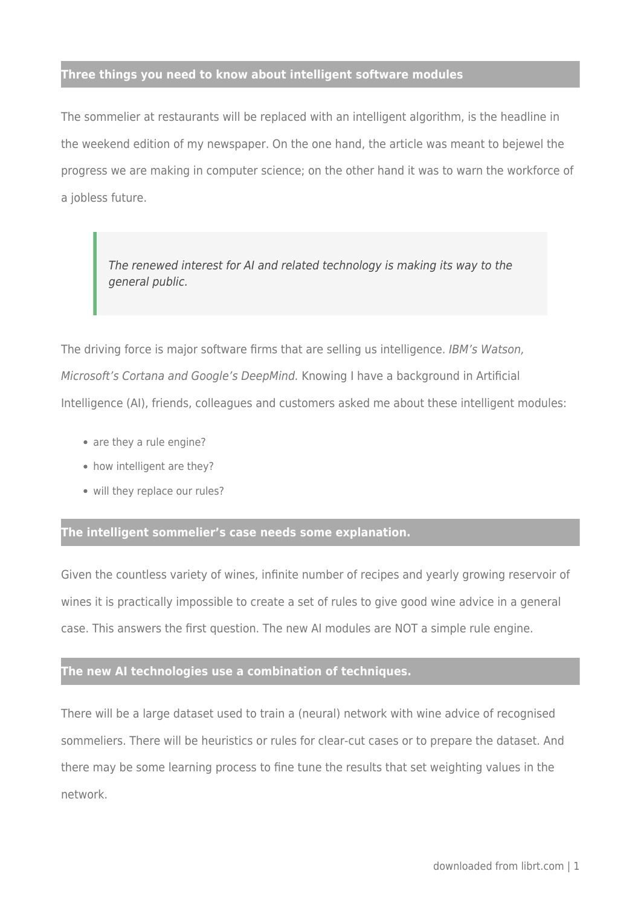## **Three things you need to know about intelligent software modules**

The sommelier at restaurants will be replaced with an intelligent algorithm, is the headline in the weekend edition of my newspaper. On the one hand, the article was meant to bejewel the progress we are making in computer science; on the other hand it was to warn the workforce of a jobless future.

The renewed interest for AI and related technology is making its way to the general public.

The driving force is major software firms that are selling us intelligence. IBM's Watson, Microsoft's Cortana and Google's DeepMind. Knowing I have a background in Artificial Intelligence (AI), friends, colleagues and customers asked me about these intelligent modules:

- are they a rule engine?
- how intelligent are they?
- will they replace our rules?

## **The intelligent sommelier's case needs some explanation.**

Given the countless variety of wines, infinite number of recipes and yearly growing reservoir of wines it is practically impossible to create a set of rules to give good wine advice in a general case. This answers the first question. The new AI modules are NOT a simple rule engine.

## **The new AI technologies use a combination of techniques.**

There will be a large dataset used to train a (neural) network with wine advice of recognised sommeliers. There will be heuristics or rules for clear-cut cases or to prepare the dataset. And there may be some learning process to fine tune the results that set weighting values in the network.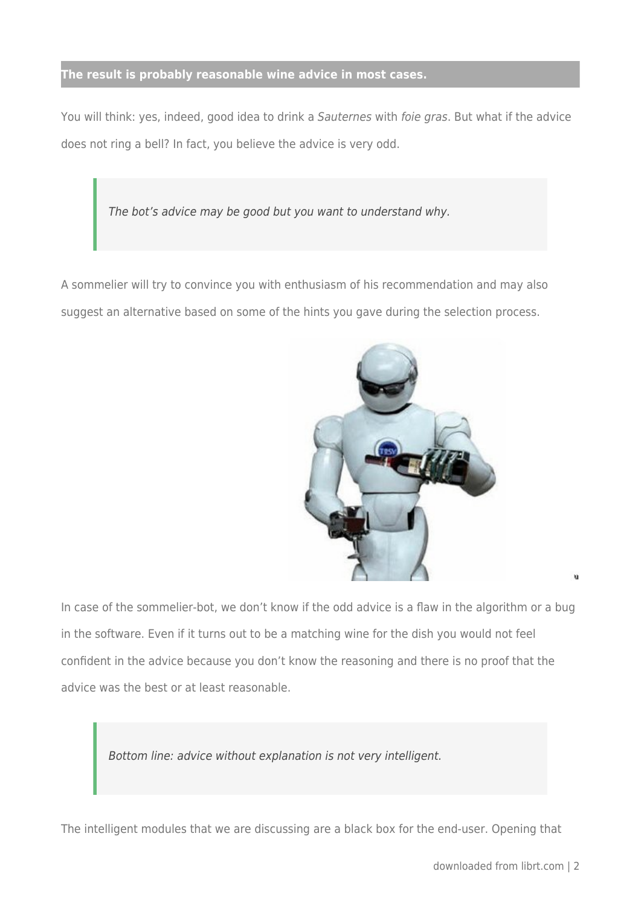## **The result is probably reasonable wine advice in most cases.**

You will think: yes, indeed, good idea to drink a Sauternes with foie gras. But what if the advice does not ring a bell? In fact, you believe the advice is very odd.

The bot's advice may be good but you want to understand why.

A sommelier will try to convince you with enthusiasm of his recommendation and may also suggest an alternative based on some of the hints you gave during the selection process.



In case of the sommelier-bot, we don't know if the odd advice is a flaw in the algorithm or a bug in the software. Even if it turns out to be a matching wine for the dish you would not feel confident in the advice because you don't know the reasoning and there is no proof that the advice was the best or at least reasonable.

Bottom line: advice without explanation is not very intelligent.

The intelligent modules that we are discussing are a black box for the end-user. Opening that

ü